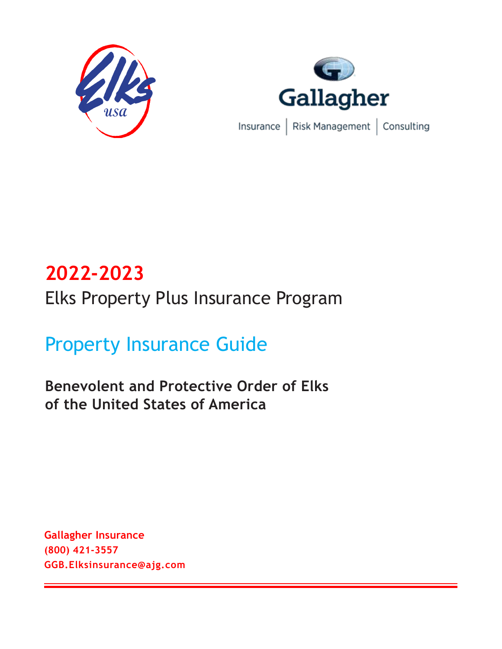



# **2022-2023** Elks Property Plus Insurance Program

# Property Insurance Guide

**Benevolent and Protective Order of Elks of the United States of America**

**Gallagher Insurance (800) 421-3557 GGB.Elksinsurance@ajg.com**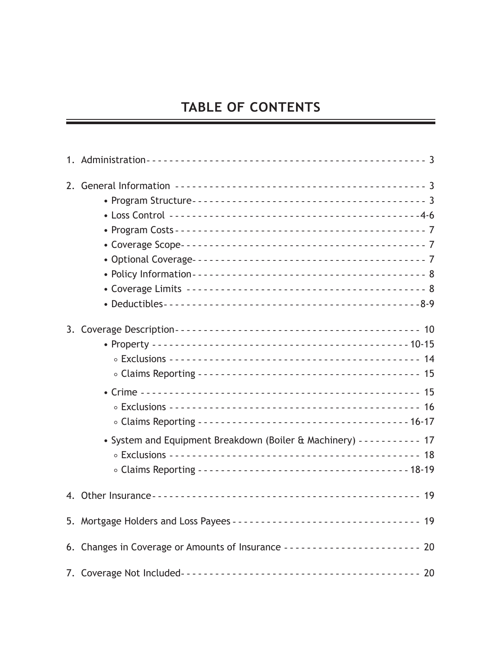## **TABLE OF CONTENTS**

| • System and Equipment Breakdown (Boiler & Machinery) ---------- 17       |  |
|---------------------------------------------------------------------------|--|
|                                                                           |  |
|                                                                           |  |
| 6. Changes in Coverage or Amounts of Insurance ----------------------- 20 |  |
|                                                                           |  |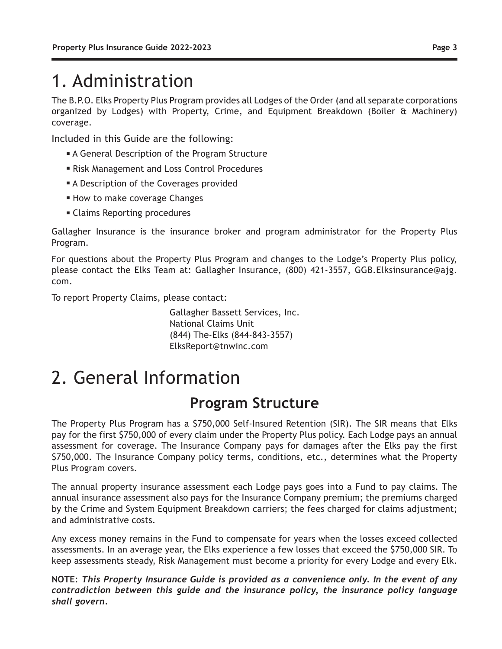# 1. Administration

The B.P.O. Elks Property Plus Program provides all Lodges of the Order (and all separate corporations organized by Lodges) with Property, Crime, and Equipment Breakdown (Boiler & Machinery) coverage.

Included in this Guide are the following:

- **A General Description of the Program Structure**
- **Risk Management and Loss Control Procedures**
- **A Description of the Coverages provided**
- **How to make coverage Changes**
- **Example 2** Claims Reporting procedures

Gallagher Insurance is the insurance broker and program administrator for the Property Plus Program.

For questions about the Property Plus Program and changes to the Lodge's Property Plus policy, please contact the Elks Team at: Gallagher Insurance, (800) 421-3557, GGB.Elksinsurance@ajg. com.

To report Property Claims, please contact:

Gallagher Bassett Services, Inc. National Claims Unit (844) The-Elks (844-843-3557) ElksReport@tnwinc.com

# 2. General Information

## **Program Structure**

The Property Plus Program has a \$750,000 Self-Insured Retention (SIR). The SIR means that Elks pay for the first \$750,000 of every claim under the Property Plus policy. Each Lodge pays an annual assessment for coverage. The Insurance Company pays for damages after the Elks pay the first \$750,000. The Insurance Company policy terms, conditions, etc., determines what the Property Plus Program covers.

The annual property insurance assessment each Lodge pays goes into a Fund to pay claims. The annual insurance assessment also pays for the Insurance Company premium; the premiums charged by the Crime and System Equipment Breakdown carriers; the fees charged for claims adjustment; and administrative costs.

Any excess money remains in the Fund to compensate for years when the losses exceed collected assessments. In an average year, the Elks experience a few losses that exceed the \$750,000 SIR. To keep assessments steady, Risk Management must become a priority for every Lodge and every Elk.

**NOTE**: *This Property Insurance Guide is provided as a convenience only. In the event of any contradiction between this guide and the insurance policy, the insurance policy language shall govern.*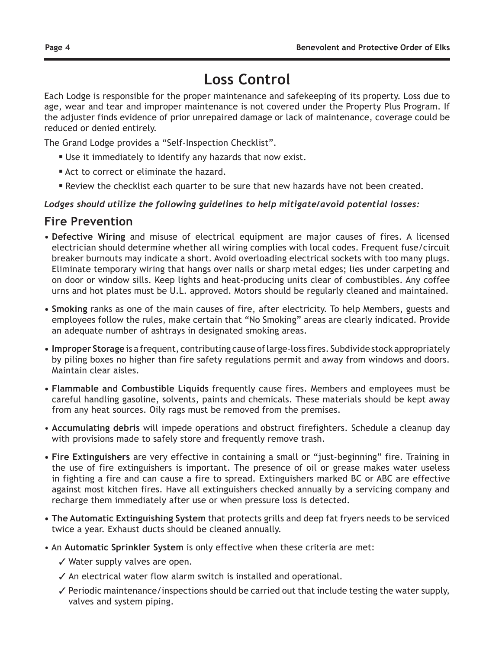# **Loss Control**

Each Lodge is responsible for the proper maintenance and safekeeping of its property. Loss due to age, wear and tear and improper maintenance is not covered under the Property Plus Program. If the adjuster finds evidence of prior unrepaired damage or lack of maintenance, coverage could be reduced or denied entirely.

The Grand Lodge provides a "Self-Inspection Checklist".

- **Use it immediately to identify any hazards that now exist.**
- **Act to correct or eliminate the hazard.**
- **Review the checklist each quarter to be sure that new hazards have not been created.**

#### *Lodges should utilize the following guidelines to help mitigate/avoid potential losses:*

### **Fire Prevention**

- **Defective Wiring** and misuse of electrical equipment are major causes of fires. A licensed electrician should determine whether all wiring complies with local codes. Frequent fuse/circuit breaker burnouts may indicate a short. Avoid overloading electrical sockets with too many plugs. Eliminate temporary wiring that hangs over nails or sharp metal edges; lies under carpeting and on door or window sills. Keep lights and heat-producing units clear of combustibles. Any coffee urns and hot plates must be U.L. approved. Motors should be regularly cleaned and maintained.
- **Smoking** ranks as one of the main causes of fire, after electricity. To help Members, guests and employees follow the rules, make certain that "No Smoking" areas are clearly indicated. Provide an adequate number of ashtrays in designated smoking areas.
- **Improper Storage** is a frequent, contributing cause of large-loss fires. Subdivide stock appropriately by piling boxes no higher than fire safety regulations permit and away from windows and doors. Maintain clear aisles.
- **Flammable and Combustible Liquids** frequently cause fires. Members and employees must be careful handling gasoline, solvents, paints and chemicals. These materials should be kept away from any heat sources. Oily rags must be removed from the premises.
- **Accumulating debris** will impede operations and obstruct firefighters. Schedule a cleanup day with provisions made to safely store and frequently remove trash.
- **Fire Extinguishers** are very effective in containing a small or "just-beginning" fire. Training in the use of fire extinguishers is important. The presence of oil or grease makes water useless in fighting a fire and can cause a fire to spread. Extinguishers marked BC or ABC are effective against most kitchen fires. Have all extinguishers checked annually by a servicing company and recharge them immediately after use or when pressure loss is detected.
- **The Automatic Extinguishing System** that protects grills and deep fat fryers needs to be serviced twice a year. Exhaust ducts should be cleaned annually.
- An **Automatic Sprinkler System** is only effective when these criteria are met:
	- $\checkmark$  Water supply valves are open.
	- $\checkmark$  An electrical water flow alarm switch is installed and operational.
	- $\checkmark$  Periodic maintenance/inspections should be carried out that include testing the water supply, valves and system piping.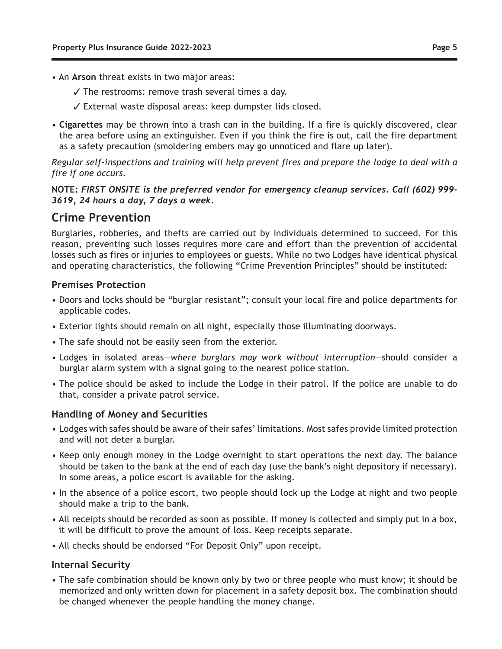- An **Arson** threat exists in two major areas:
	- $\checkmark$  The restrooms: remove trash several times a day.
	- External waste disposal areas: keep dumpster lids closed.
- **Cigarettes** may be thrown into a trash can in the building. If a fire is quickly discovered, clear the area before using an extinguisher. Even if you think the fire is out, call the fire department as a safety precaution (smoldering embers may go unnoticed and flare up later).

*Regular self-inspections and training will help prevent fires and prepare the lodge to deal with a fire if one occurs.*

**NOTE:** *FIRST ONSITE is the preferred vendor for emergency cleanup services. Call (602) 999- 3619, 24 hours a day, 7 days a week.*

#### **Crime Prevention**

Burglaries, robberies, and thefts are carried out by individuals determined to succeed. For this reason, preventing such losses requires more care and effort than the prevention of accidental losses such as fires or injuries to employees or guests. While no two Lodges have identical physical and operating characteristics, the following "Crime Prevention Principles" should be instituted:

#### **Premises Protection**

- Doors and locks should be "burglar resistant"; consult your local fire and police departments for applicable codes.
- Exterior lights should remain on all night, especially those illuminating doorways.
- The safe should not be easily seen from the exterior.
- Lodges in isolated areas—*where burglars may work without interruption*—should consider a burglar alarm system with a signal going to the nearest police station.
- The police should be asked to include the Lodge in their patrol. If the police are unable to do that, consider a private patrol service.

#### **Handling of Money and Securities**

- Lodges with safes should be aware of their safes' limitations. Most safes provide limited protection and will not deter a burglar.
- Keep only enough money in the Lodge overnight to start operations the next day. The balance should be taken to the bank at the end of each day (use the bank's night depository if necessary). In some areas, a police escort is available for the asking.
- In the absence of a police escort, two people should lock up the Lodge at night and two people should make a trip to the bank.
- All receipts should be recorded as soon as possible. If money is collected and simply put in a box, it will be difficult to prove the amount of loss. Keep receipts separate.
- All checks should be endorsed "For Deposit Only" upon receipt.

#### **Internal Security**

• The safe combination should be known only by two or three people who must know; it should be memorized and only written down for placement in a safety deposit box. The combination should be changed whenever the people handling the money change.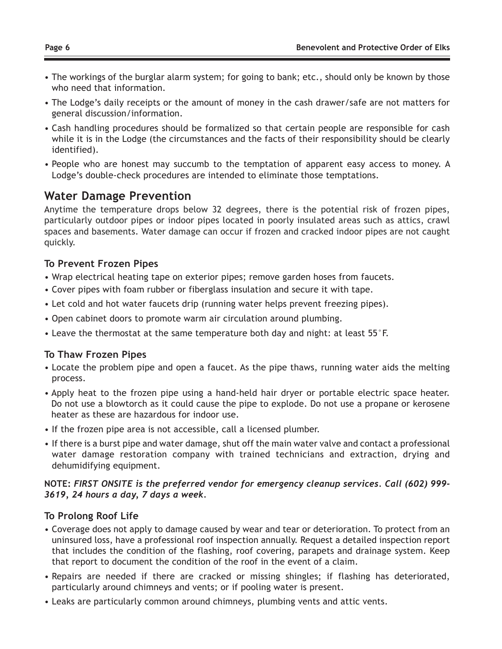- The workings of the burglar alarm system; for going to bank; etc., should only be known by those who need that information.
- The Lodge's daily receipts or the amount of money in the cash drawer/safe are not matters for general discussion/information.
- Cash handling procedures should be formalized so that certain people are responsible for cash while it is in the Lodge (the circumstances and the facts of their responsibility should be clearly identified).
- People who are honest may succumb to the temptation of apparent easy access to money. A Lodge's double-check procedures are intended to eliminate those temptations.

### **Water Damage Prevention**

Anytime the temperature drops below 32 degrees, there is the potential risk of frozen pipes, particularly outdoor pipes or indoor pipes located in poorly insulated areas such as attics, crawl spaces and basements. Water damage can occur if frozen and cracked indoor pipes are not caught quickly.

#### **To Prevent Frozen Pipes**

- Wrap electrical heating tape on exterior pipes; remove garden hoses from faucets.
- Cover pipes with foam rubber or fiberglass insulation and secure it with tape.
- Let cold and hot water faucets drip (running water helps prevent freezing pipes).
- Open cabinet doors to promote warm air circulation around plumbing.
- Leave the thermostat at the same temperature both day and night: at least 55°F.

#### **To Thaw Frozen Pipes**

- Locate the problem pipe and open a faucet. As the pipe thaws, running water aids the melting process.
- Apply heat to the frozen pipe using a hand-held hair dryer or portable electric space heater. Do not use a blowtorch as it could cause the pipe to explode. Do not use a propane or kerosene heater as these are hazardous for indoor use.
- If the frozen pipe area is not accessible, call a licensed plumber.
- If there is a burst pipe and water damage, shut off the main water valve and contact a professional water damage restoration company with trained technicians and extraction, drying and dehumidifying equipment.

#### **NOTE:** *FIRST ONSITE is the preferred vendor for emergency cleanup services. Call (602) 999- 3619, 24 hours a day, 7 days a week.*

#### **To Prolong Roof Life**

- Coverage does not apply to damage caused by wear and tear or deterioration. To protect from an uninsured loss, have a professional roof inspection annually. Request a detailed inspection report that includes the condition of the flashing, roof covering, parapets and drainage system. Keep that report to document the condition of the roof in the event of a claim.
- Repairs are needed if there are cracked or missing shingles; if flashing has deteriorated, particularly around chimneys and vents; or if pooling water is present.
- Leaks are particularly common around chimneys, plumbing vents and attic vents.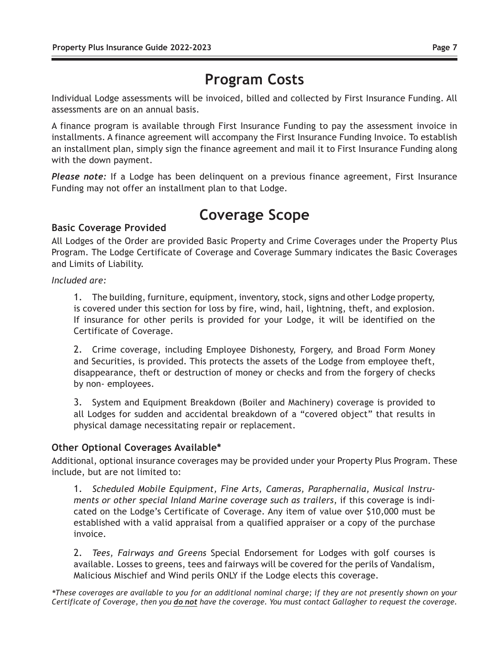# **Program Costs**

Individual Lodge assessments will be invoiced, billed and collected by First Insurance Funding. All assessments are on an annual basis.

A finance program is available through First Insurance Funding to pay the assessment invoice in installments. A finance agreement will accompany the First Insurance Funding Invoice. To establish an installment plan, simply sign the finance agreement and mail it to First Insurance Funding along with the down payment.

*Please note:* If a Lodge has been delinquent on a previous finance agreement, First Insurance Funding may not offer an installment plan to that Lodge.

# **Coverage Scope**

#### **Basic Coverage Provided**

All Lodges of the Order are provided Basic Property and Crime Coverages under the Property Plus Program. The Lodge Certificate of Coverage and Coverage Summary indicates the Basic Coverages and Limits of Liability.

*Included are:*

1. The building, furniture, equipment, inventory, stock, signs and other Lodge property, is covered under this section for loss by fire, wind, hail, lightning, theft, and explosion. If insurance for other perils is provided for your Lodge, it will be identified on the Certificate of Coverage.

2. Crime coverage, including Employee Dishonesty, Forgery, and Broad Form Money and Securities, is provided. This protects the assets of the Lodge from employee theft, disappearance, theft or destruction of money or checks and from the forgery of checks by non- employees.

3. System and Equipment Breakdown (Boiler and Machinery) coverage is provided to all Lodges for sudden and accidental breakdown of a "covered object" that results in physical damage necessitating repair or replacement.

#### **Other Optional Coverages Available\***

Additional, optional insurance coverages may be provided under your Property Plus Program. These include, but are not limited to:

1. *Scheduled Mobile Equipment, Fine Arts, Cameras, Paraphernalia, Musical Instruments or other special Inland Marine coverage such as trailers*, if this coverage is indicated on the Lodge's Certificate of Coverage. Any item of value over \$10,000 must be established with a valid appraisal from a qualified appraiser or a copy of the purchase invoice.

2. *Tees, Fairways and Greens* Special Endorsement for Lodges with golf courses is available. Losses to greens, tees and fairways will be covered for the perils of Vandalism, Malicious Mischief and Wind perils ONLY if the Lodge elects this coverage.

*\*These coverages are available to you for an additional nominal charge; if they are not presently shown on your Certificate of Coverage, then you do not have the coverage. You must contact Gallagher to request the coverage.*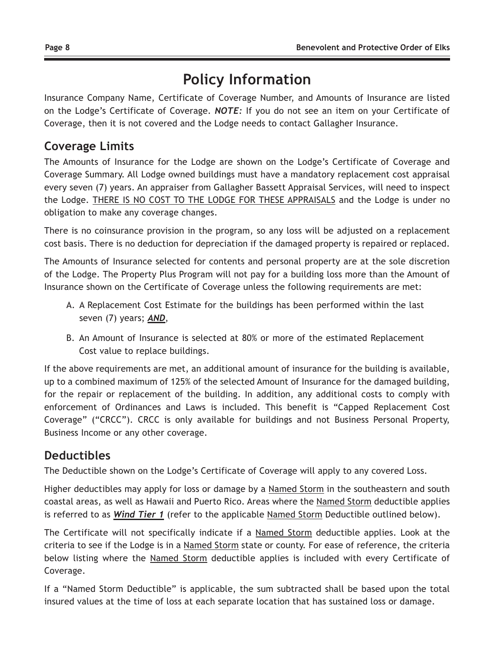# **Policy Information**

Insurance Company Name, Certificate of Coverage Number, and Amounts of Insurance are listed on the Lodge's Certificate of Coverage. *NOTE:* If you do not see an item on your Certificate of Coverage, then it is not covered and the Lodge needs to contact Gallagher Insurance.

## **Coverage Limits**

The Amounts of Insurance for the Lodge are shown on the Lodge's Certificate of Coverage and Coverage Summary. All Lodge owned buildings must have a mandatory replacement cost appraisal every seven (7) years. An appraiser from Gallagher Bassett Appraisal Services, will need to inspect the Lodge. THERE IS NO COST TO THE LODGE FOR THESE APPRAISALS and the Lodge is under no obligation to make any coverage changes.

There is no coinsurance provision in the program, so any loss will be adjusted on a replacement cost basis. There is no deduction for depreciation if the damaged property is repaired or replaced.

The Amounts of Insurance selected for contents and personal property are at the sole discretion of the Lodge. The Property Plus Program will not pay for a building loss more than the Amount of Insurance shown on the Certificate of Coverage unless the following requirements are met:

- A. A Replacement Cost Estimate for the buildings has been performed within the last seven (7) years; *AND*,
- B. An Amount of Insurance is selected at 80% or more of the estimated Replacement Cost value to replace buildings.

If the above requirements are met, an additional amount of insurance for the building is available, up to a combined maximum of 125% of the selected Amount of Insurance for the damaged building, for the repair or replacement of the building. In addition, any additional costs to comply with enforcement of Ordinances and Laws is included. This benefit is "Capped Replacement Cost Coverage" ("CRCC"). CRCC is only available for buildings and not Business Personal Property, Business Income or any other coverage.

## **Deductibles**

The Deductible shown on the Lodge's Certificate of Coverage will apply to any covered Loss.

Higher deductibles may apply for loss or damage by a Named Storm in the southeastern and south coastal areas, as well as Hawaii and Puerto Rico. Areas where the Named Storm deductible applies is referred to as *Wind Tier 1* (refer to the applicable Named Storm Deductible outlined below).

The Certificate will not specifically indicate if a Named Storm deductible applies. Look at the criteria to see if the Lodge is in a Named Storm state or county. For ease of reference, the criteria below listing where the Named Storm deductible applies is included with every Certificate of Coverage.

If a "Named Storm Deductible" is applicable, the sum subtracted shall be based upon the total insured values at the time of loss at each separate location that has sustained loss or damage.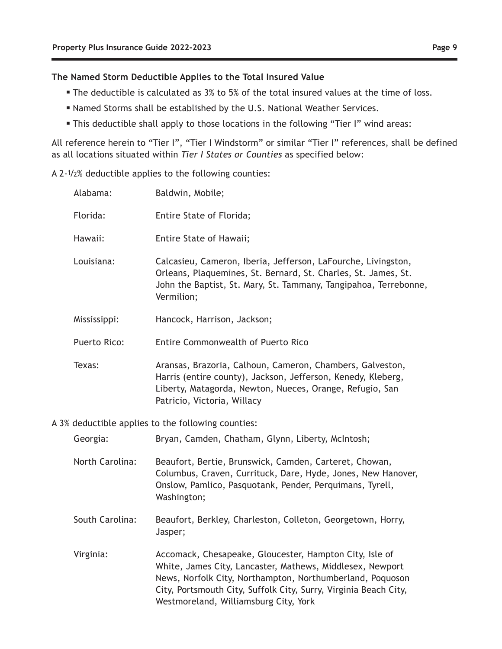#### **The Named Storm Deductible Applies to the Total Insured Value**

- **The deductible is calculated as 3% to 5% of the total insured values at the time of loss.**
- <sup>n</sup> Named Storms shall be established by the U.S. National Weather Services.
- This deductible shall apply to those locations in the following "Tier I" wind areas:

All reference herein to "Tier I", "Tier I Windstorm" or similar "Tier I" references, shall be defined as all locations situated within *Tier I States or Counties* as specified below:

A 2-1/2% deductible applies to the following counties:

| Alabama:     | Baldwin, Mobile;                                                                                                                                                                                                     |
|--------------|----------------------------------------------------------------------------------------------------------------------------------------------------------------------------------------------------------------------|
| Florida:     | Entire State of Florida;                                                                                                                                                                                             |
| Hawaii:      | Entire State of Hawaii;                                                                                                                                                                                              |
| Louisiana:   | Calcasieu, Cameron, Iberia, Jefferson, LaFourche, Livingston,<br>Orleans, Plaquemines, St. Bernard, St. Charles, St. James, St.<br>John the Baptist, St. Mary, St. Tammany, Tangipahoa, Terrebonne,<br>Vermilion;    |
| Mississippi: | Hancock, Harrison, Jackson;                                                                                                                                                                                          |
| Puerto Rico: | Entire Commonwealth of Puerto Rico                                                                                                                                                                                   |
| Texas:       | Aransas, Brazoria, Calhoun, Cameron, Chambers, Galveston,<br>Harris (entire county), Jackson, Jefferson, Kenedy, Kleberg,<br>Liberty, Matagorda, Newton, Nueces, Orange, Refugio, San<br>Patricio, Victoria, Willacy |

A 3% deductible applies to the following counties:

| Georgia:        | Bryan, Camden, Chatham, Glynn, Liberty, McIntosh;                                                                                                                                                                                                                                              |
|-----------------|------------------------------------------------------------------------------------------------------------------------------------------------------------------------------------------------------------------------------------------------------------------------------------------------|
| North Carolina: | Beaufort, Bertie, Brunswick, Camden, Carteret, Chowan,<br>Columbus, Craven, Currituck, Dare, Hyde, Jones, New Hanover,<br>Onslow, Pamlico, Pasquotank, Pender, Perquimans, Tyrell,<br>Washington;                                                                                              |
| South Carolina: | Beaufort, Berkley, Charleston, Colleton, Georgetown, Horry,<br>Jasper;                                                                                                                                                                                                                         |
| Virginia:       | Accomack, Chesapeake, Gloucester, Hampton City, Isle of<br>White, James City, Lancaster, Mathews, Middlesex, Newport<br>News, Norfolk City, Northampton, Northumberland, Poquoson<br>City, Portsmouth City, Suffolk City, Surry, Virginia Beach City,<br>Westmoreland, Williamsburg City, York |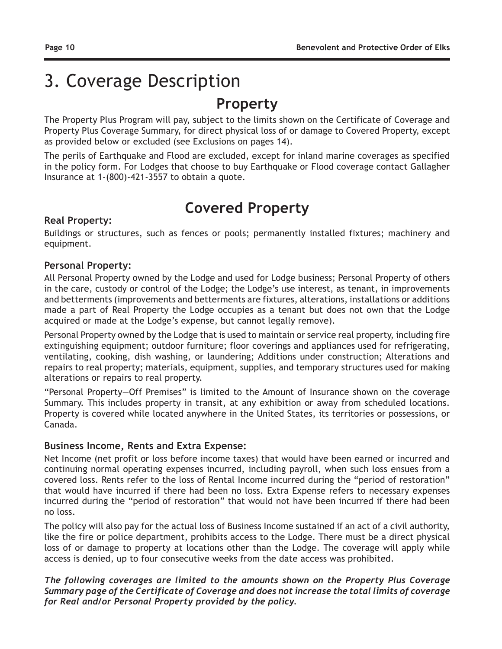# 3. Coverage Description

## **Property**

The Property Plus Program will pay, subject to the limits shown on the Certificate of Coverage and Property Plus Coverage Summary, for direct physical loss of or damage to Covered Property, except as provided below or excluded (see Exclusions on pages 14).

The perils of Earthquake and Flood are excluded, except for inland marine coverages as specified in the policy form. For Lodges that choose to buy Earthquake or Flood coverage contact Gallagher Insurance at 1-(800)-421-3557 to obtain a quote.

# **Covered Property**

#### **Real Property:**

Buildings or structures, such as fences or pools; permanently installed fixtures; machinery and equipment.

#### **Personal Property:**

All Personal Property owned by the Lodge and used for Lodge business; Personal Property of others in the care, custody or control of the Lodge; the Lodge's use interest, as tenant, in improvements and betterments (improvements and betterments are fixtures, alterations, installations or additions made a part of Real Property the Lodge occupies as a tenant but does not own that the Lodge acquired or made at the Lodge's expense, but cannot legally remove).

Personal Property owned by the Lodge that is used to maintain or service real property, including fire extinguishing equipment; outdoor furniture; floor coverings and appliances used for refrigerating, ventilating, cooking, dish washing, or laundering; Additions under construction; Alterations and repairs to real property; materials, equipment, supplies, and temporary structures used for making alterations or repairs to real property.

"Personal Property—Off Premises" is limited to the Amount of Insurance shown on the coverage Summary. This includes property in transit, at any exhibition or away from scheduled locations. Property is covered while located anywhere in the United States, its territories or possessions, or Canada.

#### **Business Income, Rents and Extra Expense:**

Net Income (net profit or loss before income taxes) that would have been earned or incurred and continuing normal operating expenses incurred, including payroll, when such loss ensues from a covered loss. Rents refer to the loss of Rental Income incurred during the "period of restoration" that would have incurred if there had been no loss. Extra Expense refers to necessary expenses incurred during the "period of restoration" that would not have been incurred if there had been no loss.

The policy will also pay for the actual loss of Business Income sustained if an act of a civil authority, like the fire or police department, prohibits access to the Lodge. There must be a direct physical loss of or damage to property at locations other than the Lodge. The coverage will apply while access is denied, up to four consecutive weeks from the date access was prohibited.

#### *The following coverages are limited to the amounts shown on the Property Plus Coverage Summary page of the Certificate of Coverage and does not increase the total limits of coverage for Real and/or Personal Property provided by the policy.*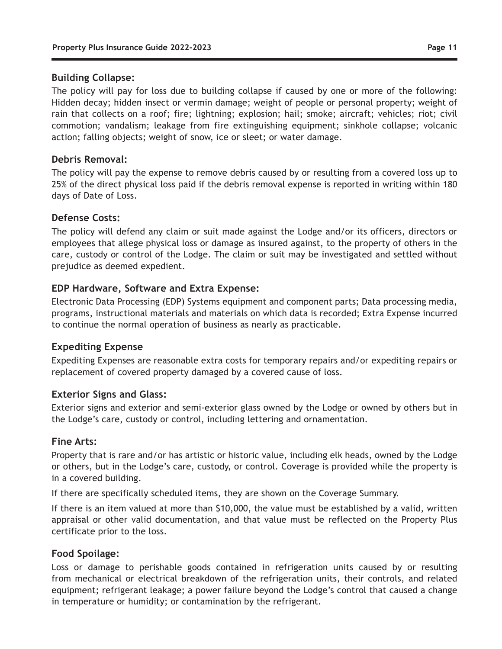#### **Building Collapse:**

The policy will pay for loss due to building collapse if caused by one or more of the following: Hidden decay; hidden insect or vermin damage; weight of people or personal property; weight of rain that collects on a roof; fire; lightning; explosion; hail; smoke; aircraft; vehicles; riot; civil commotion; vandalism; leakage from fire extinguishing equipment; sinkhole collapse; volcanic action; falling objects; weight of snow, ice or sleet; or water damage.

#### **Debris Removal:**

The policy will pay the expense to remove debris caused by or resulting from a covered loss up to 25% of the direct physical loss paid if the debris removal expense is reported in writing within 180 days of Date of Loss.

#### **Defense Costs:**

The policy will defend any claim or suit made against the Lodge and/or its officers, directors or employees that allege physical loss or damage as insured against, to the property of others in the care, custody or control of the Lodge. The claim or suit may be investigated and settled without prejudice as deemed expedient.

#### **EDP Hardware, Software and Extra Expense:**

Electronic Data Processing (EDP) Systems equipment and component parts; Data processing media, programs, instructional materials and materials on which data is recorded; Extra Expense incurred to continue the normal operation of business as nearly as practicable.

#### **Expediting Expense**

Expediting Expenses are reasonable extra costs for temporary repairs and/or expediting repairs or replacement of covered property damaged by a covered cause of loss.

#### **Exterior Signs and Glass:**

Exterior signs and exterior and semi-exterior glass owned by the Lodge or owned by others but in the Lodge's care, custody or control, including lettering and ornamentation.

#### **Fine Arts:**

Property that is rare and/or has artistic or historic value, including elk heads, owned by the Lodge or others, but in the Lodge's care, custody, or control. Coverage is provided while the property is in a covered building.

If there are specifically scheduled items, they are shown on the Coverage Summary.

If there is an item valued at more than \$10,000, the value must be established by a valid, written appraisal or other valid documentation, and that value must be reflected on the Property Plus certificate prior to the loss.

#### **Food Spoilage:**

Loss or damage to perishable goods contained in refrigeration units caused by or resulting from mechanical or electrical breakdown of the refrigeration units, their controls, and related equipment; refrigerant leakage; a power failure beyond the Lodge's control that caused a change in temperature or humidity; or contamination by the refrigerant.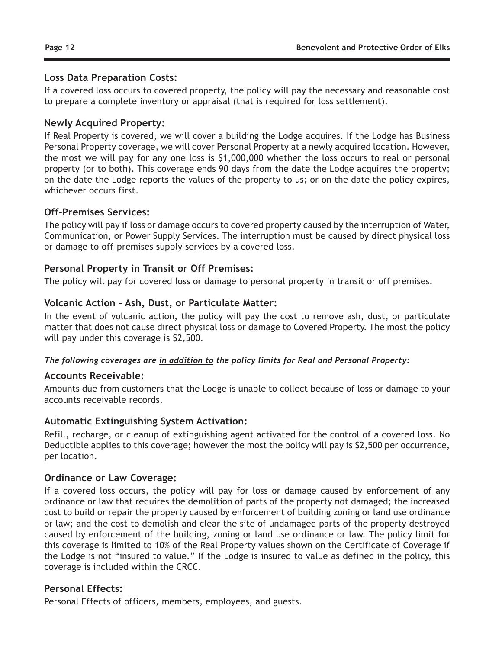#### **Loss Data Preparation Costs:**

If a covered loss occurs to covered property, the policy will pay the necessary and reasonable cost to prepare a complete inventory or appraisal (that is required for loss settlement).

#### **Newly Acquired Property:**

If Real Property is covered, we will cover a building the Lodge acquires. If the Lodge has Business Personal Property coverage, we will cover Personal Property at a newly acquired location. However, the most we will pay for any one loss is \$1,000,000 whether the loss occurs to real or personal property (or to both). This coverage ends 90 days from the date the Lodge acquires the property; on the date the Lodge reports the values of the property to us; or on the date the policy expires, whichever occurs first.

#### **Off-Premises Services:**

The policy will pay if loss or damage occurs to covered property caused by the interruption of Water, Communication, or Power Supply Services. The interruption must be caused by direct physical loss or damage to off-premises supply services by a covered loss.

#### **Personal Property in Transit or Off Premises:**

The policy will pay for covered loss or damage to personal property in transit or off premises.

#### **Volcanic Action - Ash, Dust, or Particulate Matter:**

In the event of volcanic action, the policy will pay the cost to remove ash, dust, or particulate matter that does not cause direct physical loss or damage to Covered Property. The most the policy will pay under this coverage is \$2,500.

#### *The following coverages are in addition to the policy limits for Real and Personal Property:*

#### **Accounts Receivable:**

Amounts due from customers that the Lodge is unable to collect because of loss or damage to your accounts receivable records.

#### **Automatic Extinguishing System Activation:**

Refill, recharge, or cleanup of extinguishing agent activated for the control of a covered loss. No Deductible applies to this coverage; however the most the policy will pay is \$2,500 per occurrence, per location.

#### **Ordinance or Law Coverage:**

If a covered loss occurs, the policy will pay for loss or damage caused by enforcement of any ordinance or law that requires the demolition of parts of the property not damaged; the increased cost to build or repair the property caused by enforcement of building zoning or land use ordinance or law; and the cost to demolish and clear the site of undamaged parts of the property destroyed caused by enforcement of the building, zoning or land use ordinance or law. The policy limit for this coverage is limited to 10% of the Real Property values shown on the Certificate of Coverage if the Lodge is not "insured to value." If the Lodge is insured to value as defined in the policy, this coverage is included within the CRCC.

#### **Personal Effects:**

Personal Effects of officers, members, employees, and guests.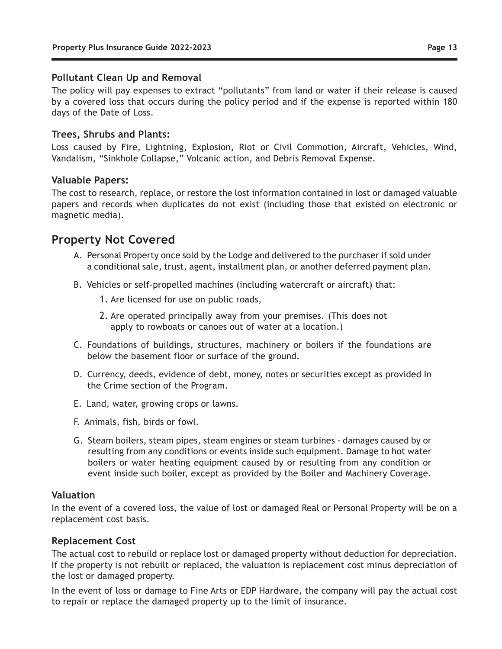#### **Pollutant Clean Up and Removal**

The policy will pay expenses to extract "pollutants" from land or water if their release is caused by a covered loss that occurs during the policy period and if the expense is reported within 180 days of the Date of Loss.

#### **Trees, Shrubs and Plants:**

Loss caused by Fire, Lightning, Explosion, Riot or Civil Commotion, Aircraft, Vehicles, Wind, Vandalism, "Sinkhole Collapse," Volcanic action, and Debris Removal Expense.

#### **Valuable Papers:**

The cost to research, replace, or restore the lost information contained in lost or damaged valuable papers and records when duplicates do not exist (including those that existed on electronic or magnetic media).

### **Property Not Covered**

- A. Personal Property once sold by the Lodge and delivered to the purchaser if sold under a conditional sale, trust, agent, installment plan, or another deferred payment plan.
- B. Vehicles or self-propelled machines (including watercraft or aircraft) that:
	- 1. Are licensed for use on public roads,
	- 2. Are operated principally away from your premises. (This does not apply to rowboats or canoes out of water at a location.)
- C. Foundations of buildings, structures, machinery or boilers if the foundations are below the basement floor or surface of the ground.
- D. Currency, deeds, evidence of debt, money, notes or securities except as provided in the Crime section of the Program.
- E. Land, water, growing crops or lawns.
- F. Animals, fish, birds or fowl.
- G. Steam boilers, steam pipes, steam engines or steam turbines damages caused by or resulting from any conditions or events inside such equipment. Damage to hot water boilers or water heating equipment caused by or resulting from any condition or event inside such boiler, except as provided by the Boiler and Machinery Coverage.

#### **Valuation**

In the event of a covered loss, the value of lost or damaged Real or Personal Property will be on a replacement cost basis.

#### **Replacement Cost**

The actual cost to rebuild or replace lost or damaged property without deduction for depreciation. If the property is not rebuilt or replaced, the valuation is replacement cost minus depreciation of the lost or damaged property.

In the event of loss or damage to Fine Arts or EDP Hardware, the company will pay the actual cost to repair or replace the damaged property up to the limit of insurance.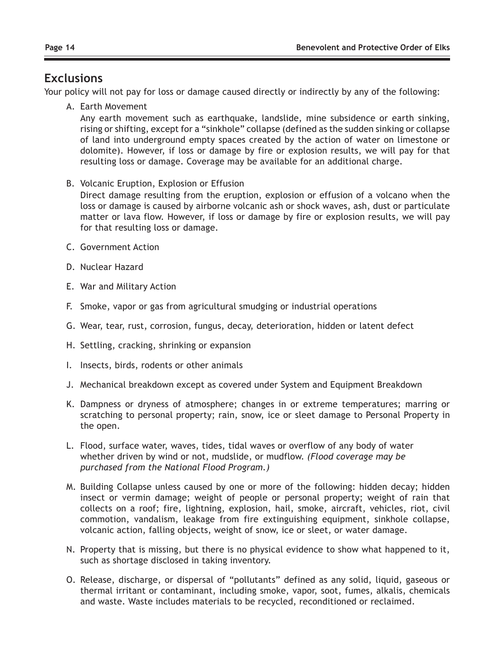### **Exclusions**

Your policy will not pay for loss or damage caused directly or indirectly by any of the following:

A. Earth Movement

 Any earth movement such as earthquake, landslide, mine subsidence or earth sinking, rising or shifting, except for a "sinkhole" collapse (defined as the sudden sinking or collapse of land into underground empty spaces created by the action of water on limestone or dolomite). However, if loss or damage by fire or explosion results, we will pay for that resulting loss or damage. Coverage may be available for an additional charge.

B. Volcanic Eruption, Explosion or Effusion

 Direct damage resulting from the eruption, explosion or effusion of a volcano when the loss or damage is caused by airborne volcanic ash or shock waves, ash, dust or particulate matter or lava flow. However, if loss or damage by fire or explosion results, we will pay for that resulting loss or damage.

- C. Government Action
- D. Nuclear Hazard
- E. War and Military Action
- F. Smoke, vapor or gas from agricultural smudging or industrial operations
- G. Wear, tear, rust, corrosion, fungus, decay, deterioration, hidden or latent defect
- H. Settling, cracking, shrinking or expansion
- I. Insects, birds, rodents or other animals
- J. Mechanical breakdown except as covered under System and Equipment Breakdown
- K. Dampness or dryness of atmosphere; changes in or extreme temperatures; marring or scratching to personal property; rain, snow, ice or sleet damage to Personal Property in the open.
- L. Flood, surface water, waves, tides, tidal waves or overflow of any body of water whether driven by wind or not, mudslide, or mudflow. *(Flood coverage may be purchased from the National Flood Program.)*
- M. Building Collapse unless caused by one or more of the following: hidden decay; hidden insect or vermin damage; weight of people or personal property; weight of rain that collects on a roof; fire, lightning, explosion, hail, smoke, aircraft, vehicles, riot, civil commotion, vandalism, leakage from fire extinguishing equipment, sinkhole collapse, volcanic action, falling objects, weight of snow, ice or sleet, or water damage.
- N. Property that is missing, but there is no physical evidence to show what happened to it, such as shortage disclosed in taking inventory.
- O. Release, discharge, or dispersal of "pollutants" defined as any solid, liquid, gaseous or thermal irritant or contaminant, including smoke, vapor, soot, fumes, alkalis, chemicals and waste. Waste includes materials to be recycled, reconditioned or reclaimed.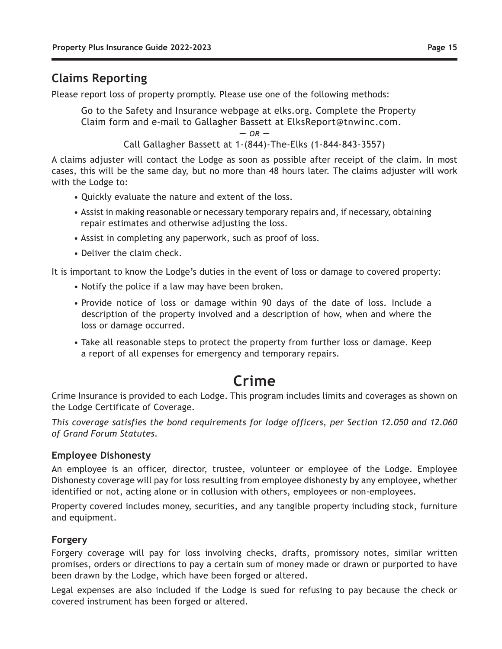## **Claims Reporting**

Please report loss of property promptly. Please use one of the following methods:

Go to the Safety and Insurance webpage at elks.org. Complete the Property Claim form and e-mail to Gallagher Bassett at ElksReport@tnwinc.com.

 $OR -$ 

Call Gallagher Bassett at 1-(844)-The-Elks (1-844-843-3557)

A claims adjuster will contact the Lodge as soon as possible after receipt of the claim. In most cases, this will be the same day, but no more than 48 hours later. The claims adjuster will work with the Lodge to:

- Quickly evaluate the nature and extent of the loss.
- Assist in making reasonable or necessary temporary repairs and, if necessary, obtaining repair estimates and otherwise adjusting the loss.
- Assist in completing any paperwork, such as proof of loss.
- Deliver the claim check.

It is important to know the Lodge's duties in the event of loss or damage to covered property:

- Notify the police if a law may have been broken.
- Provide notice of loss or damage within 90 days of the date of loss. Include a description of the property involved and a description of how, when and where the loss or damage occurred.
- Take all reasonable steps to protect the property from further loss or damage. Keep a report of all expenses for emergency and temporary repairs.

## **Crime**

Crime Insurance is provided to each Lodge. This program includes limits and coverages as shown on the Lodge Certificate of Coverage.

*This coverage satisfies the bond requirements for lodge officers, per Section 12.050 and 12.060 of Grand Forum Statutes.*

#### **Employee Dishonesty**

An employee is an officer, director, trustee, volunteer or employee of the Lodge. Employee Dishonesty coverage will pay for loss resulting from employee dishonesty by any employee, whether identified or not, acting alone or in collusion with others, employees or non-employees.

Property covered includes money, securities, and any tangible property including stock, furniture and equipment.

#### **Forgery**

Forgery coverage will pay for loss involving checks, drafts, promissory notes, similar written promises, orders or directions to pay a certain sum of money made or drawn or purported to have been drawn by the Lodge, which have been forged or altered.

Legal expenses are also included if the Lodge is sued for refusing to pay because the check or covered instrument has been forged or altered.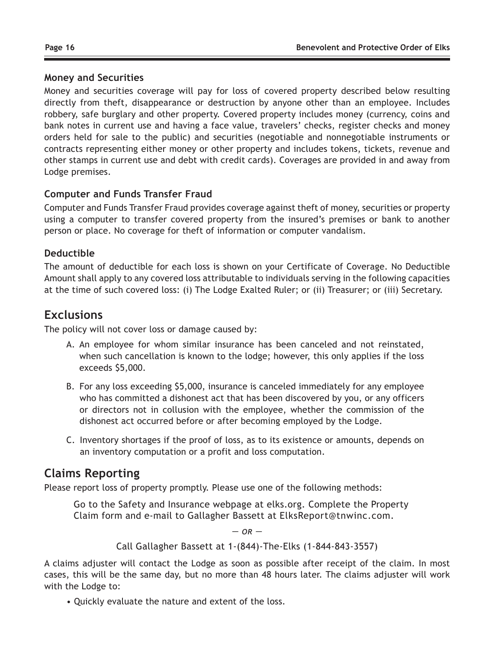#### **Money and Securities**

Money and securities coverage will pay for loss of covered property described below resulting directly from theft, disappearance or destruction by anyone other than an employee. Includes robbery, safe burglary and other property. Covered property includes money (currency, coins and bank notes in current use and having a face value, travelers' checks, register checks and money orders held for sale to the public) and securities (negotiable and nonnegotiable instruments or contracts representing either money or other property and includes tokens, tickets, revenue and other stamps in current use and debt with credit cards). Coverages are provided in and away from Lodge premises.

#### **Computer and Funds Transfer Fraud**

Computer and Funds Transfer Fraud provides coverage against theft of money, securities or property using a computer to transfer covered property from the insured's premises or bank to another person or place. No coverage for theft of information or computer vandalism.

#### **Deductible**

The amount of deductible for each loss is shown on your Certificate of Coverage. No Deductible Amount shall apply to any covered loss attributable to individuals serving in the following capacities at the time of such covered loss: (i) The Lodge Exalted Ruler; or (ii) Treasurer; or (iii) Secretary.

### **Exclusions**

The policy will not cover loss or damage caused by:

- A. An employee for whom similar insurance has been canceled and not reinstated, when such cancellation is known to the lodge; however, this only applies if the loss exceeds \$5,000.
- B. For any loss exceeding \$5,000, insurance is canceled immediately for any employee who has committed a dishonest act that has been discovered by you, or any officers or directors not in collusion with the employee, whether the commission of the dishonest act occurred before or after becoming employed by the Lodge.
- C. Inventory shortages if the proof of loss, as to its existence or amounts, depends on an inventory computation or a profit and loss computation.

## **Claims Reporting**

Please report loss of property promptly. Please use one of the following methods:

Go to the Safety and Insurance webpage at elks.org. Complete the Property Claim form and e-mail to Gallagher Bassett at ElksReport@tnwinc.com.

 $\Omega R -$ 

Call Gallagher Bassett at 1-(844)-The-Elks (1-844-843-3557)

A claims adjuster will contact the Lodge as soon as possible after receipt of the claim. In most cases, this will be the same day, but no more than 48 hours later. The claims adjuster will work with the Lodge to:

• Quickly evaluate the nature and extent of the loss.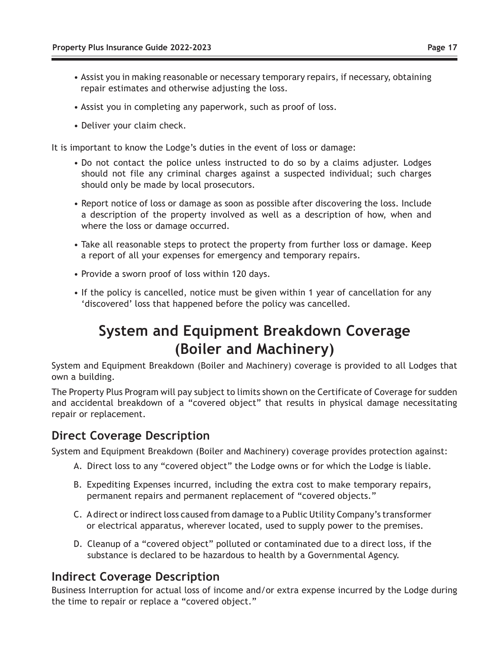- Assist you in making reasonable or necessary temporary repairs, if necessary, obtaining repair estimates and otherwise adjusting the loss.
- Assist you in completing any paperwork, such as proof of loss.
- Deliver your claim check.

It is important to know the Lodge's duties in the event of loss or damage:

- Do not contact the police unless instructed to do so by a claims adjuster. Lodges should not file any criminal charges against a suspected individual; such charges should only be made by local prosecutors.
- Report notice of loss or damage as soon as possible after discovering the loss. Include a description of the property involved as well as a description of how, when and where the loss or damage occurred.
- Take all reasonable steps to protect the property from further loss or damage. Keep a report of all your expenses for emergency and temporary repairs.
- Provide a sworn proof of loss within 120 days.
- If the policy is cancelled, notice must be given within 1 year of cancellation for any 'discovered' loss that happened before the policy was cancelled.

# **System and Equipment Breakdown Coverage (Boiler and Machinery)**

System and Equipment Breakdown (Boiler and Machinery) coverage is provided to all Lodges that own a building.

The Property Plus Program will pay subject to limits shown on the Certificate of Coverage for sudden and accidental breakdown of a "covered object" that results in physical damage necessitating repair or replacement.

### **Direct Coverage Description**

System and Equipment Breakdown (Boiler and Machinery) coverage provides protection against:

- A. Direct loss to any "covered object" the Lodge owns or for which the Lodge is liable.
- B. Expediting Expenses incurred, including the extra cost to make temporary repairs, permanent repairs and permanent replacement of "covered objects."
- C. A direct or indirect loss caused from damage to a Public Utility Company's transformer or electrical apparatus, wherever located, used to supply power to the premises.
- D. Cleanup of a "covered object" polluted or contaminated due to a direct loss, if the substance is declared to be hazardous to health by a Governmental Agency.

### **Indirect Coverage Description**

Business Interruption for actual loss of income and/or extra expense incurred by the Lodge during the time to repair or replace a "covered object."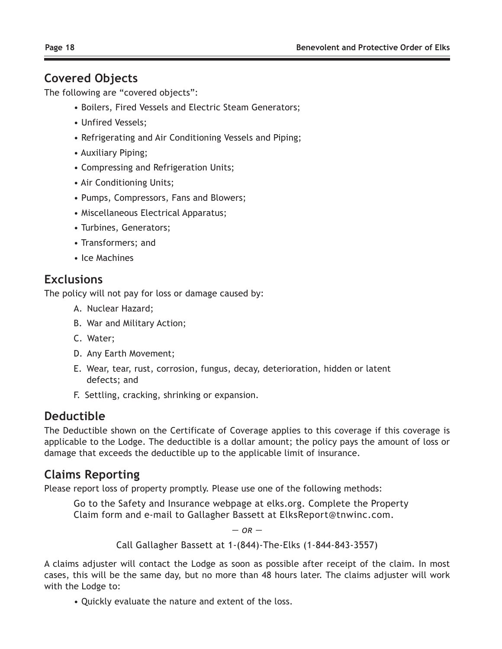### **Covered Objects**

The following are "covered objects":

- Boilers, Fired Vessels and Electric Steam Generators;
- Unfired Vessels;
- Refrigerating and Air Conditioning Vessels and Piping;
- Auxiliary Piping;
- Compressing and Refrigeration Units;
- Air Conditioning Units;
- Pumps, Compressors, Fans and Blowers;
- Miscellaneous Electrical Apparatus;
- Turbines, Generators;
- Transformers; and
- Ice Machines

## **Exclusions**

The policy will not pay for loss or damage caused by:

- A. Nuclear Hazard;
- B. War and Military Action;
- C. Water;
- D. Any Earth Movement;
- E. Wear, tear, rust, corrosion, fungus, decay, deterioration, hidden or latent defects; and
- F. Settling, cracking, shrinking or expansion.

## **Deductible**

The Deductible shown on the Certificate of Coverage applies to this coverage if this coverage is applicable to the Lodge. The deductible is a dollar amount; the policy pays the amount of loss or damage that exceeds the deductible up to the applicable limit of insurance.

## **Claims Reporting**

Please report loss of property promptly. Please use one of the following methods:

Go to the Safety and Insurance webpage at elks.org. Complete the Property Claim form and e-mail to Gallagher Bassett at ElksReport@tnwinc.com.

 $OR -$ 

Call Gallagher Bassett at 1-(844)-The-Elks (1-844-843-3557)

A claims adjuster will contact the Lodge as soon as possible after receipt of the claim. In most cases, this will be the same day, but no more than 48 hours later. The claims adjuster will work with the Lodge to:

• Quickly evaluate the nature and extent of the loss.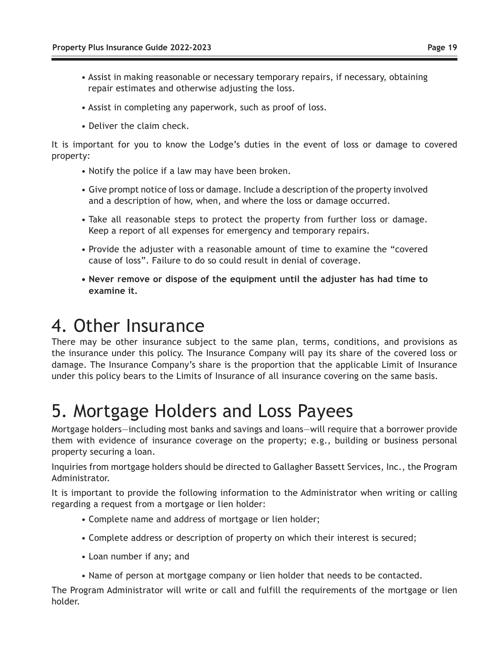- Assist in making reasonable or necessary temporary repairs, if necessary, obtaining repair estimates and otherwise adjusting the loss.
- Assist in completing any paperwork, such as proof of loss.
- Deliver the claim check.

It is important for you to know the Lodge's duties in the event of loss or damage to covered property:

- Notify the police if a law may have been broken.
- Give prompt notice of loss or damage. Include a description of the property involved and a description of how, when, and where the loss or damage occurred.
- Take all reasonable steps to protect the property from further loss or damage. Keep a report of all expenses for emergency and temporary repairs.
- Provide the adjuster with a reasonable amount of time to examine the "covered cause of loss". Failure to do so could result in denial of coverage.
- **Never remove or dispose of the equipment until the adjuster has had time to examine it.**

# 4. Other Insurance

There may be other insurance subject to the same plan, terms, conditions, and provisions as the insurance under this policy. The Insurance Company will pay its share of the covered loss or damage. The Insurance Company's share is the proportion that the applicable Limit of Insurance under this policy bears to the Limits of Insurance of all insurance covering on the same basis.

# 5. Mortgage Holders and Loss Payees

Mortgage holders—including most banks and savings and loans—will require that a borrower provide them with evidence of insurance coverage on the property; e.g., building or business personal property securing a loan.

Inquiries from mortgage holders should be directed to Gallagher Bassett Services, Inc., the Program Administrator.

It is important to provide the following information to the Administrator when writing or calling regarding a request from a mortgage or lien holder:

- Complete name and address of mortgage or lien holder;
- Complete address or description of property on which their interest is secured;
- Loan number if any; and
- Name of person at mortgage company or lien holder that needs to be contacted.

The Program Administrator will write or call and fulfill the requirements of the mortgage or lien holder.